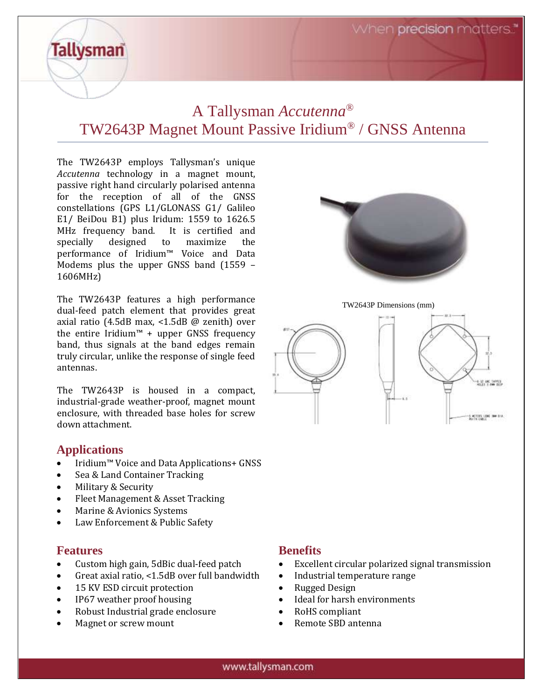When **precision** matters."

# A Tallysman *Accutenna®* TW2643P Magnet Mount Passive Iridium® / GNSS Antenna

The TW2643P employs Tallysman's unique *Accutenna* technology in a magnet mount, passive right hand circularly polarised antenna for the reception of all of the GNSS constellations (GPS L1/GLONASS G1/ Galileo E1/ BeiDou B1) plus Iridum: 1559 to 1626.5 MHz frequency band. It is certified and specially designed to maximize the performance of Iridium™ Voice and Data Modems plus the upper GNSS band (1559 – 1606MHz)

The TW2643P features a high performance dual-feed patch element that provides great axial ratio (4.5dB max, <1.5dB @ zenith) over the entire Iridium™ + upper GNSS frequency band, thus signals at the band edges remain truly circular, unlike the response of single feed antennas.

The TW2643P is housed in a compact, industrial-grade weather-proof, magnet mount enclosure, with threaded base holes for screw down attachment.

### **Applications**

**Tallysman** 

- Iridium™ Voice and Data Applications+ GNSS
- Sea & Land Container Tracking
- Military & Security
- Fleet Management & Asset Tracking
- Marine & Avionics Systems
- Law Enforcement & Public Safety

### **Features**

- Custom high gain, 5dBic dual-feed patch
- Great axial ratio, <1.5dB over full bandwidth
- 15 KV ESD circuit protection
- IP67 weather proof housing
- Robust Industrial grade enclosure
- Magnet or screw mount

# **Benefits**

- Excellent circular polarized signal transmission
- Industrial temperature range
- Rugged Design
- Ideal for harsh environments
- RoHS compliant
- Remote SBD antenna





TW2643P Dimensions (mm)